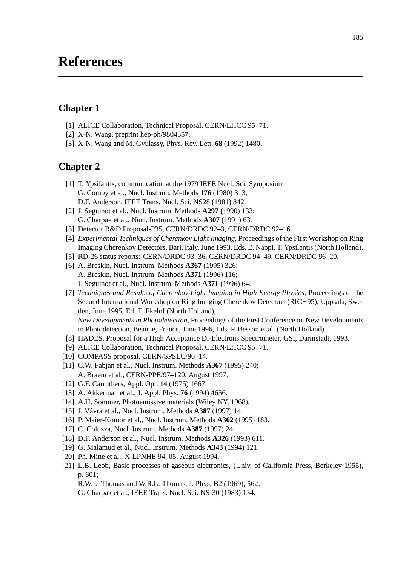# **References**

## **Chapter 1**

- [1] ALICE Collaboration, Technical Proposal, CERN/LHCC 95-71.
- [2] X-N. Wang, preprint hep-ph/9804357.
- [3] X-N. Wang and M. Gyulassy, Phys. Rev. Lett. **68** (1992) 1480.

#### **Chapter 2**

- [1] T. Ypsilantis, communication at the 1979 IEEE Nucl. Sci. Symposium; G. Comby et al., Nucl. Instrum. Methods **176** (1980) 313; D.F. Anderson, IEEE Trans. Nucl. Sci. NS28 (1981) 842.
- [2] J. Seguinot et al., Nucl. Instrum. Methods **A297** (1990) 133; G. Charpak et al., Nucl. Instrum. Methods **A307** (1991) 63.
- [3] Detector R&D Proposal-P35, CERN/DRDC 92-3, CERN/DRDC 92-16.
- [4] *Experimental Techniques of Cherenkov Light Imaging*, Proceedings of the First Workshop on Ring Imaging Cherenkov Detectors, Bari, Italy, June 1993, Eds. E. Nappi, T. Ypsilantis (North Holland).
- [5] RD-26 status reports: CERN/DRDC 93–36, CERN/DRDC 94–49, CERN/DRDC 96–20.
- [6] A. Breskin, Nucl. Instrum. Methods **A367** (1995) 326; A. Breskin, Nucl. Instrum. Methods **A371** (1996) 116; J. Seguinot et al., Nucl. Instrum. Methods **A371** (1996) 64.
- [7] *Techniques and Results of Cherenkov Light Imaging in High Energy Physics*, Proceedings of the Second International Workshop on Ring Imaging Cherenkov Detectors (RICH95), Uppsala, Sweden, June 1995, Ed. T. Ekelof (North Holland); *New Developments in Photodetection*, Proceedings of the First Conference on New Developments in Photodetection, Beaune, France, June 1996, Eds. P. Besson et al. (North Holland).
- [8] HADES, Proposal for a High Acceptance Di-Electrons Spectrometer, GSI, Darmstadt, 1993.
- [9] ALICE Collaboration, Technical Proposal, CERN/LHCC 95–71.
- [10] COMPASS proposal, CERN/SPSLC/96-14.
- [11] C.W. Fabjan et al., Nucl. Instrum. Methods **A367** (1995) 240; A. Braem et al., CERN-PPE/97–120, August 1997.
- [12] G.F. Carruthers, Appl. Opt. **14** (1975) 1667.
- [13] A. Akkerman et al., J. Appl. Phys. **76** (1994) 4656.
- [14] A.H. Sommer, Photoemissive materials (Wiley NY, 1968).
- [15] J. Vávra et al., Nucl. Instrum. Methods **A387** (1997) 14.
- [16] P. Maier-Komor et al., Nucl. Instrum. Methods **A362** (1995) 183.
- [17] C. Coluzza, Nucl. Instrum. Methods **A387** (1997) 24.
- [18] D.F. Anderson et al., Nucl. Instrum. Methods **A326** (1993) 611.
- [19] G. Malamud et al., Nucl. Instrum. Methods **A343** (1994) 121.
- [20] Ph. Miné et al., X-LPNHE 94-05, August 1994.
- [21] L.B. Leob, Basic processes of gaseous electronics, (Univ. of California Press, Berkeley 1955), p. 601;
	- R.W.L. Thomas and W.R.L. Thomas, J. Phys. B2 (1969), 562;
	- G. Charpak et al., IEEE Trans. Nucl. Sci. NS-30 (1983) 134.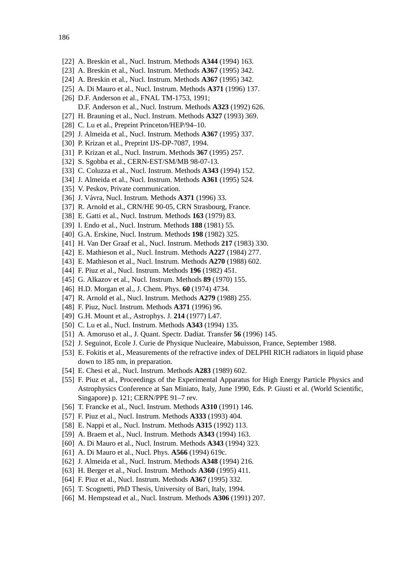- [22] A. Breskin et al., Nucl. Instrum. Methods **A344** (1994) 163.
- [23] A. Breskin et al., Nucl. Instrum. Methods **A367** (1995) 342.
- [24] A. Breskin et al., Nucl. Instrum. Methods **A367** (1995) 342.
- [25] A. Di Mauro et al., Nucl. Instrum. Methods **A371** (1996) 137.
- [26] D.F. Anderson et al., FNAL TM-1753, 1991;
	- D.F. Anderson et al., Nucl. Instrum. Methods **A323** (1992) 626.
- [27] H. Brauning et al., Nucl. Instrum. Methods **A327** (1993) 369.
- [28] C. Lu et al., Preprint Princeton/HEP/94-10.
- [29] J. Almeida et al., Nucl. Instrum. Methods **A367** (1995) 337.
- [30] P. Krizan et al., Preprint IJS-DP-7087, 1994.
- [31] P. Krizan et al., Nucl. Instrum. Methods **367** (1995) 257.
- [32] S. Sgobba et al., CERN-EST/SM/MB 98-07-13.
- [33] C. Coluzza et al., Nucl. Instrum. Methods **A343** (1994) 152.
- [34] J. Almeida et al., Nucl. Instrum. Methods **A361** (1995) 524.
- [35] V. Peskov, Private communication.
- [36] J. Vávra, Nucl. Instrum. Methods A371 (1996) 33.
- [37] R. Arnold et al., CRN/HE 90-05, CRN Strasbourg, France.
- [38] E. Gatti et al., Nucl. Instrum. Methods **163** (1979) 83.
- [39] I. Endo et al., Nucl. Instrum. Methods **188** (1981) 55.
- [40] G.A. Erskine, Nucl. Instrum. Methods **198** (1982) 325.
- [41] H. Van Der Graaf et al., Nucl. Instrum. Methods **217** (1983) 330.
- [42] E. Mathieson et al., Nucl. Instrum. Methods **A227** (1984) 277.
- [43] E. Mathieson et al., Nucl. Instrum. Methods **A270** (1988) 602.
- [44] F. Piuz et al., Nucl. Instrum. Methods **196** (1982) 451.
- [45] G. Alkazov et al., Nucl. Instrum. Methods **89** (1970) 155.
- [46] H.D. Morgan et al., J. Chem. Phys. **60** (1974) 4734.
- [47] R. Arnold et al., Nucl. Instrum. Methods **A279** (1988) 255.
- [48] F. Piuz, Nucl. Instrum. Methods **A371** (1996) 96.
- [49] G.H. Mount et al., Astrophys. J. **214** (1977) L47.
- [50] C. Lu et al., Nucl. Instrum. Methods **A343** (1994) 135.
- [51] A. Amoruso et al., J. Quant. Spectr. Dadiat. Transfer **56** (1996) 145.
- [52] J. Seguinot, Ecole J. Curie de Physique Nucleaire, Mabuisson, France, September 1988.
- [53] E. Fokitis et al., Measurements of the refractive index of DELPHI RICH radiators in liquid phase down to 185 nm, in preparation.
- [54] E. Chesi et al., Nucl. Instrum. Methods **A283** (1989) 602.
- [55] F. Piuz et al., Proceedings of the Experimental Apparatus for High Energy Particle Physics and Astrophysics Conference at San Miniato, Italy, June 1990, Eds. P. Giusti et al. (World Scientific, Singapore) p. 121; CERN/PPE 91–7 rev.
- [56] T. Francke et al., Nucl. Instrum. Methods **A310** (1991) 146.
- [57] F. Piuz et al., Nucl. Instrum. Methods **A333** (1993) 404.
- [58] E. Nappi et al., Nucl. Instrum. Methods **A315** (1992) 113.
- [59] A. Braem et al., Nucl. Instrum. Methods **A343** (1994) 163.
- [60] A. Di Mauro et al., Nucl. Instrum. Methods **A343** (1994) 323.
- [61] A. Di Mauro et al., Nucl. Phys. **A566** (1994) 619c.
- [62] J. Almeida et al., Nucl. Instrum. Methods **A348** (1994) 216.
- [63] H. Berger et al., Nucl. Instrum. Methods **A360** (1995) 411.
- [64] F. Piuz et al., Nucl. Instrum. Methods **A367** (1995) 332.
- [65] T. Scognetti, PhD Thesis, University of Bari, Italy, 1994.
- [66] M. Hempstead et al., Nucl. Instrum. Methods **A306** (1991) 207.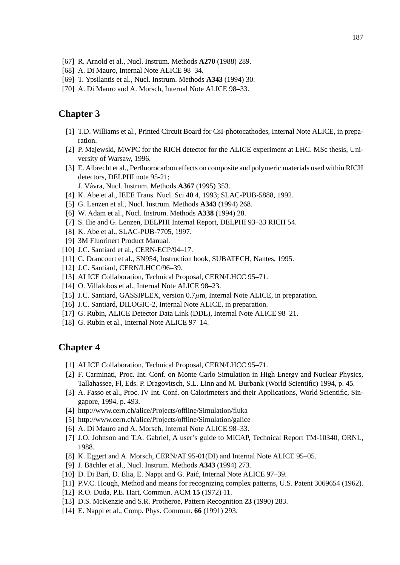- [67] R. Arnold et al., Nucl. Instrum. Methods **A270** (1988) 289.
- [68] A. Di Mauro, Internal Note ALICE 98–34.
- [69] T. Ypsilantis et al., Nucl. Instrum. Methods **A343** (1994) 30.
- [70] A. Di Mauro and A. Morsch, Internal Note ALICE 98-33.

# **Chapter 3**

- [1] T.D. Williams et al., Printed Circuit Board for CsI-photocathodes, Internal Note ALICE, in preparation.
- [2] P. Majewski, MWPC for the RICH detector for the ALICE experiment at LHC. MSc thesis, University of Warsaw, 1996.
- [3] E. Albrecht et al., Perfluorocarbon effects on composite and polymeric materials used within RICH detectors, DELPHI note 95-21;
	- J. Vávra, Nucl. Instrum. Methods **A367** (1995) 353.
- [4] K. Abe et al., IEEE Trans. Nucl. Sci **40** 4, 1993; SLAC-PUB-5888, 1992.
- [5] G. Lenzen et al., Nucl. Instrum. Methods **A343** (1994) 268.
- [6] W. Adam et al., Nucl. Instrum. Methods **A338** (1994) 28.
- [7] S. Ilie and G. Lenzen, DELPHI Internal Report, DELPHI 93–33 RICH 54.
- [8] K. Abe et al., SLAC-PUB-7705, 1997.
- [9] 3M Fluorinert Product Manual.
- [10] J.C. Santiard et al., CERN-ECP/94-17.
- [11] C. Drancourt et al., SN954, Instruction book, SUBATECH, Nantes, 1995.
- [12] J.C. Santiard, CERN/LHCC/96-39.
- [13] ALICE Collaboration, Technical Proposal, CERN/LHCC 95-71.
- [14] O. Villalobos et al., Internal Note ALICE 98–23.
- [15] J.C. Santiard, GASSIPLEX, version 0.7*µ*m, Internal Note ALICE, in preparation.
- [16] J.C. Santiard, DILOGIC-2, Internal Note ALICE, in preparation.
- [17] G. Rubin, ALICE Detector Data Link (DDL), Internal Note ALICE 98–21.
- [18] G. Rubin et al., Internal Note ALICE 97-14.

### **Chapter 4**

- [1] ALICE Collaboration, Technical Proposal, CERN/LHCC 95-71.
- [2] F. Carminati, Proc. Int. Conf. on Monte Carlo Simulation in High Energy and Nuclear Physics, Tallahassee, Fl, Eds. P. Dragovitsch, S.L. Linn and M. Burbank (World Scientific) 1994, p. 45.
- [3] A. Fasso et al., Proc. IV Int. Conf. on Calorimeters and their Applications, World Scientific, Singapore, 1994, p. 493.
- [4] http://www.cern.ch/alice/Projects/offline/Simulation/fluka
- [5] http://www.cern.ch/alice/Projects/offline/Simulation/galice
- [6] A. Di Mauro and A. Morsch, Internal Note ALICE 98-33.
- [7] J.O. Johnson and T.A. Gabriel, A user's guide to MICAP, Technical Report TM-10340, ORNL, 1988.
- [8] K. Eggert and A. Morsch, CERN/AT 95-01(DI) and Internal Note ALICE 95–05.
- [9] J. Bächler et al., Nucl. Instrum. Methods **A343** (1994) 273.
- [10] D. Di Bari, D. Elia, E. Nappi and G. Paić, Internal Note ALICE 97-39.
- [11] P.V.C. Hough, Method and means for recognizing complex patterns, U.S. Patent 3069654 (1962).
- [12] R.O. Duda, P.E. Hart, Commun. ACM **15** (1972) 11.
- [13] D.S. McKenzie and S.R. Protheroe, Pattern Recognition **23** (1990) 283.
- [14] E. Nappi et al., Comp. Phys. Commun. **66** (1991) 293.